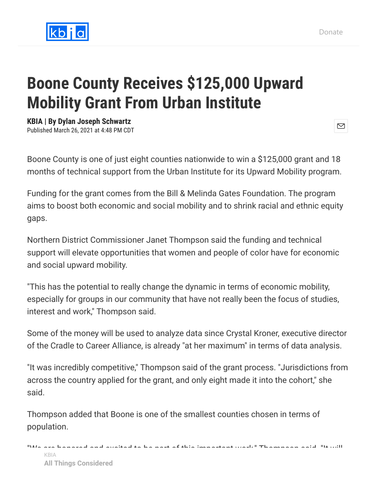

## **Boone County Receives \$125,000 Upward Mobility Grant From Urban Institute**

**KBIA | By Dylan Joseph Schwartz**

Published March 26, 2021 at 4:48 PM CDT

Boone County is one of just eight counties nationwide to win a \$125,000 grant and 18 months of technical support from the Urban Institute for its Upward Mobility program.

Funding for the grant comes from the Bill & Melinda Gates Foundation. The program aims to boost both economic and social mobility and to shrink racial and ethnic equity gaps.

Northern District Commissioner Janet Thompson said the funding and technical support will elevate opportunities that women and people of color have for economic and social upward mobility.

"This has the potential to really change the dynamic in terms of economic mobility, especially for groups in our community that have not really been the focus of studies, interest and work," Thompson said.

Some of the money will be used to analyze data since Crystal Kroner, executive director of the Cradle to Career Alliance, is already "at her maximum" in terms of data analysis.

"It was incredibly competitive," Thompson said of the grant process. "Jurisdictions from across the country applied for the grant, and only eight made it into the cohort," she said.

Thompson added that Boone is one of the smallest counties chosen in terms of population.

```
"We are honored and excited to be part of this important work," Thompson said. "It will
All Things Considered. The important work that has happened. The important work that has happened. The important work that has happened. The important work that has happened. The important work that has happened. The imp
         KBIA
```
 $\boxtimes$